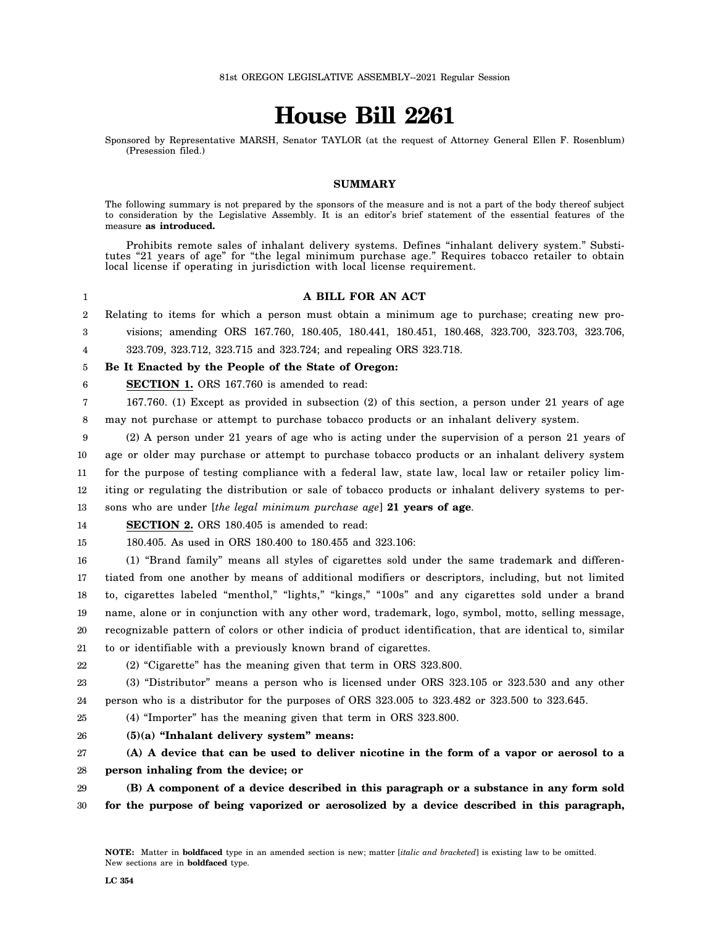# **House Bill 2261**

Sponsored by Representative MARSH, Senator TAYLOR (at the request of Attorney General Ellen F. Rosenblum) (Presession filed.)

### **SUMMARY**

The following summary is not prepared by the sponsors of the measure and is not a part of the body thereof subject to consideration by the Legislative Assembly. It is an editor's brief statement of the essential features of the measure **as introduced.**

Prohibits remote sales of inhalant delivery systems. Defines "inhalant delivery system." Substitutes "21 years of age" for "the legal minimum purchase age." Requires tobacco retailer to obtain local license if operating in jurisdiction with local license requirement.

1 2 3 **A BILL FOR AN ACT** Relating to items for which a person must obtain a minimum age to purchase; creating new provisions; amending ORS 167.760, 180.405, 180.441, 180.451, 180.468, 323.700, 323.703, 323.706,

4 323.709, 323.712, 323.715 and 323.724; and repealing ORS 323.718.

5 **Be It Enacted by the People of the State of Oregon:**

6 **SECTION 1.** ORS 167.760 is amended to read:

7 8 167.760. (1) Except as provided in subsection (2) of this section, a person under 21 years of age may not purchase or attempt to purchase tobacco products or an inhalant delivery system.

9 10 11 12 13 (2) A person under 21 years of age who is acting under the supervision of a person 21 years of age or older may purchase or attempt to purchase tobacco products or an inhalant delivery system for the purpose of testing compliance with a federal law, state law, local law or retailer policy limiting or regulating the distribution or sale of tobacco products or inhalant delivery systems to persons who are under [*the legal minimum purchase age*] **21 years of age**.

#### 14 **SECTION 2.** ORS 180.405 is amended to read:

15 180.405. As used in ORS 180.400 to 180.455 and 323.106:

16 17 18 19 20 21 (1) "Brand family" means all styles of cigarettes sold under the same trademark and differentiated from one another by means of additional modifiers or descriptors, including, but not limited to, cigarettes labeled "menthol," "lights," "kings," "100s" and any cigarettes sold under a brand name, alone or in conjunction with any other word, trademark, logo, symbol, motto, selling message, recognizable pattern of colors or other indicia of product identification, that are identical to, similar to or identifiable with a previously known brand of cigarettes.

22

(2) "Cigarette" has the meaning given that term in ORS 323.800.

23 24 (3) "Distributor" means a person who is licensed under ORS 323.105 or 323.530 and any other person who is a distributor for the purposes of ORS 323.005 to 323.482 or 323.500 to 323.645.

25 (4) "Importer" has the meaning given that term in ORS 323.800.

26 **(5)(a) "Inhalant delivery system" means:**

27 28 **(A) A device that can be used to deliver nicotine in the form of a vapor or aerosol to a person inhaling from the device; or**

29 **(B) A component of a device described in this paragraph or a substance in any form sold**

30 **for the purpose of being vaporized or aerosolized by a device described in this paragraph,**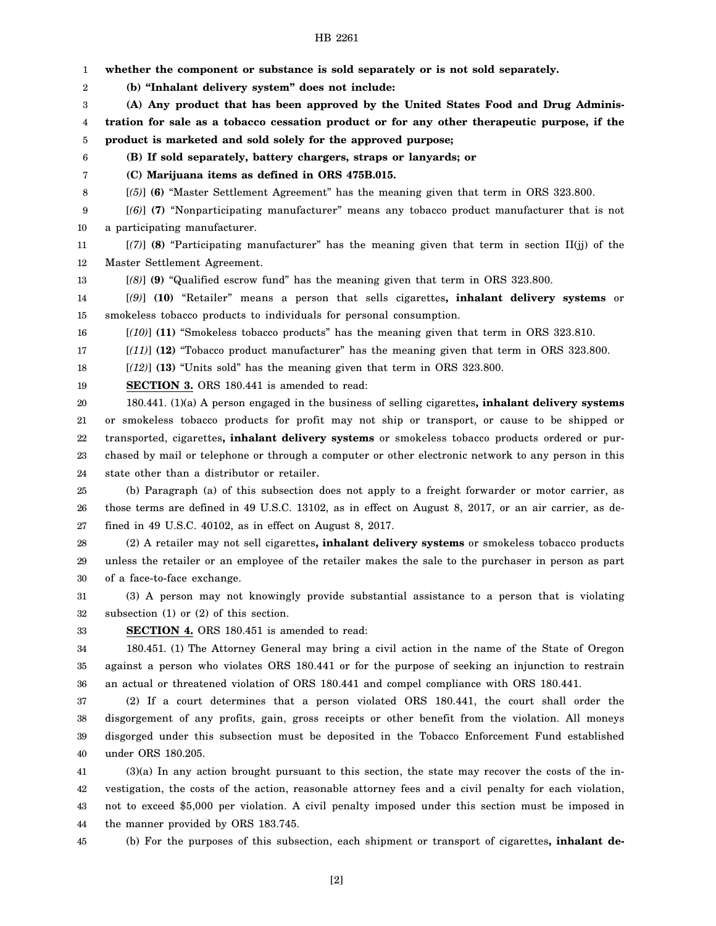1 2 3 4 5 6 7 8 9 10 11 12 13 14 15 16 17 18 19 20 21 22 23 24 25 26 27 28 29 30 31 32 33 34 35 36 37 38 39 40 41 42 43 44 **whether the component or substance is sold separately or is not sold separately. (b) "Inhalant delivery system" does not include: (A) Any product that has been approved by the United States Food and Drug Administration for sale as a tobacco cessation product or for any other therapeutic purpose, if the product is marketed and sold solely for the approved purpose; (B) If sold separately, battery chargers, straps or lanyards; or (C) Marijuana items as defined in ORS 475B.015.** [*(5)*] **(6)** "Master Settlement Agreement" has the meaning given that term in ORS 323.800. [*(6)*] **(7)** "Nonparticipating manufacturer" means any tobacco product manufacturer that is not a participating manufacturer. [*(7)*] **(8)** "Participating manufacturer" has the meaning given that term in section II(jj) of the Master Settlement Agreement. [*(8)*] **(9)** "Qualified escrow fund" has the meaning given that term in ORS 323.800. [*(9)*] **(10)** "Retailer" means a person that sells cigarettes**, inhalant delivery systems** or smokeless tobacco products to individuals for personal consumption. [*(10)*] **(11)** "Smokeless tobacco products" has the meaning given that term in ORS 323.810. [*(11)*] **(12)** "Tobacco product manufacturer" has the meaning given that term in ORS 323.800. [*(12)*] **(13)** "Units sold" has the meaning given that term in ORS 323.800. **SECTION 3.** ORS 180.441 is amended to read: 180.441. (1)(a) A person engaged in the business of selling cigarettes**, inhalant delivery systems** or smokeless tobacco products for profit may not ship or transport, or cause to be shipped or transported, cigarettes**, inhalant delivery systems** or smokeless tobacco products ordered or purchased by mail or telephone or through a computer or other electronic network to any person in this state other than a distributor or retailer. (b) Paragraph (a) of this subsection does not apply to a freight forwarder or motor carrier, as those terms are defined in 49 U.S.C. 13102, as in effect on August 8, 2017, or an air carrier, as defined in 49 U.S.C. 40102, as in effect on August 8, 2017. (2) A retailer may not sell cigarettes**, inhalant delivery systems** or smokeless tobacco products unless the retailer or an employee of the retailer makes the sale to the purchaser in person as part of a face-to-face exchange. (3) A person may not knowingly provide substantial assistance to a person that is violating subsection (1) or (2) of this section. **SECTION 4.** ORS 180.451 is amended to read: 180.451. (1) The Attorney General may bring a civil action in the name of the State of Oregon against a person who violates ORS 180.441 or for the purpose of seeking an injunction to restrain an actual or threatened violation of ORS 180.441 and compel compliance with ORS 180.441. (2) If a court determines that a person violated ORS 180.441, the court shall order the disgorgement of any profits, gain, gross receipts or other benefit from the violation. All moneys disgorged under this subsection must be deposited in the Tobacco Enforcement Fund established under ORS 180.205. (3)(a) In any action brought pursuant to this section, the state may recover the costs of the investigation, the costs of the action, reasonable attorney fees and a civil penalty for each violation, not to exceed \$5,000 per violation. A civil penalty imposed under this section must be imposed in the manner provided by ORS 183.745.

45 (b) For the purposes of this subsection, each shipment or transport of cigarettes**, inhalant de-**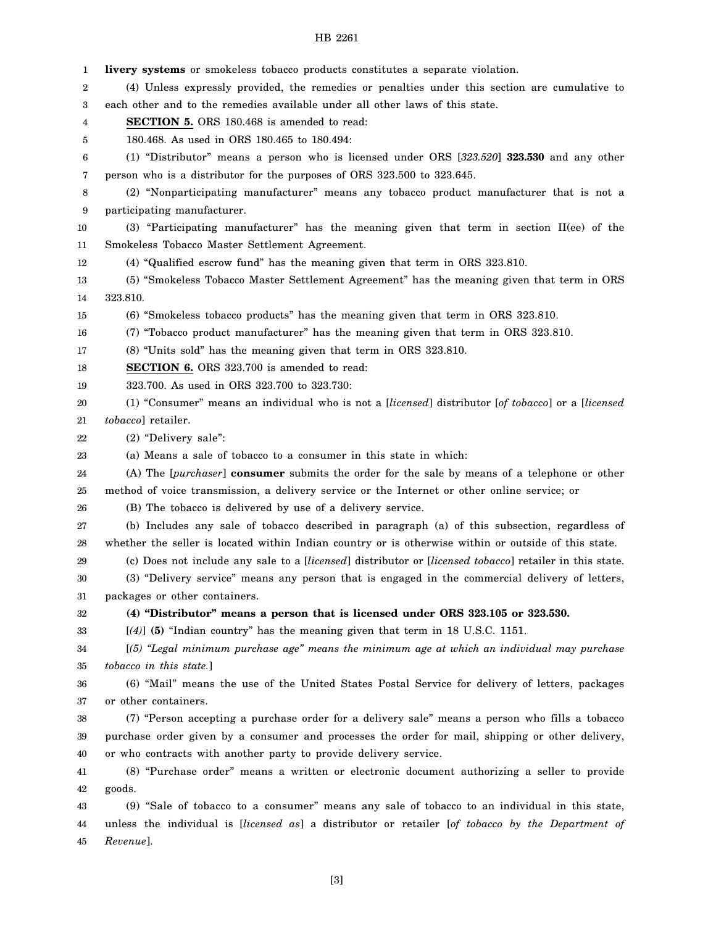1 2 3 4 5 6 7 8 9 10 11 12 13 14 15 16 17 18 19 20 21 22 23 24 25 26 27 28 29 30 31 32 33 34 35 36 37 38 39 40 41 42 43 44 45 **livery systems** or smokeless tobacco products constitutes a separate violation. (4) Unless expressly provided, the remedies or penalties under this section are cumulative to each other and to the remedies available under all other laws of this state. **SECTION 5.** ORS 180.468 is amended to read: 180.468. As used in ORS 180.465 to 180.494: (1) "Distributor" means a person who is licensed under ORS [*323.520*] **323.530** and any other person who is a distributor for the purposes of ORS 323.500 to 323.645. (2) "Nonparticipating manufacturer" means any tobacco product manufacturer that is not a participating manufacturer. (3) "Participating manufacturer" has the meaning given that term in section II(ee) of the Smokeless Tobacco Master Settlement Agreement. (4) "Qualified escrow fund" has the meaning given that term in ORS 323.810. (5) "Smokeless Tobacco Master Settlement Agreement" has the meaning given that term in ORS 323.810. (6) "Smokeless tobacco products" has the meaning given that term in ORS 323.810. (7) "Tobacco product manufacturer" has the meaning given that term in ORS 323.810. (8) "Units sold" has the meaning given that term in ORS 323.810. **SECTION 6.** ORS 323.700 is amended to read: 323.700. As used in ORS 323.700 to 323.730: (1) "Consumer" means an individual who is not a [*licensed*] distributor [*of tobacco*] or a [*licensed tobacco*] retailer. (2) "Delivery sale": (a) Means a sale of tobacco to a consumer in this state in which: (A) The [*purchaser*] **consumer** submits the order for the sale by means of a telephone or other method of voice transmission, a delivery service or the Internet or other online service; or (B) The tobacco is delivered by use of a delivery service. (b) Includes any sale of tobacco described in paragraph (a) of this subsection, regardless of whether the seller is located within Indian country or is otherwise within or outside of this state. (c) Does not include any sale to a [*licensed*] distributor or [*licensed tobacco*] retailer in this state. (3) "Delivery service" means any person that is engaged in the commercial delivery of letters, packages or other containers. **(4) "Distributor" means a person that is licensed under ORS 323.105 or 323.530.** [*(4)*] **(5)** "Indian country" has the meaning given that term in 18 U.S.C. 1151. [*(5) "Legal minimum purchase age" means the minimum age at which an individual may purchase tobacco in this state.*] (6) "Mail" means the use of the United States Postal Service for delivery of letters, packages or other containers. (7) "Person accepting a purchase order for a delivery sale" means a person who fills a tobacco purchase order given by a consumer and processes the order for mail, shipping or other delivery, or who contracts with another party to provide delivery service. (8) "Purchase order" means a written or electronic document authorizing a seller to provide goods. (9) "Sale of tobacco to a consumer" means any sale of tobacco to an individual in this state, unless the individual is [*licensed as*] a distributor or retailer [*of tobacco by the Department of Revenue*].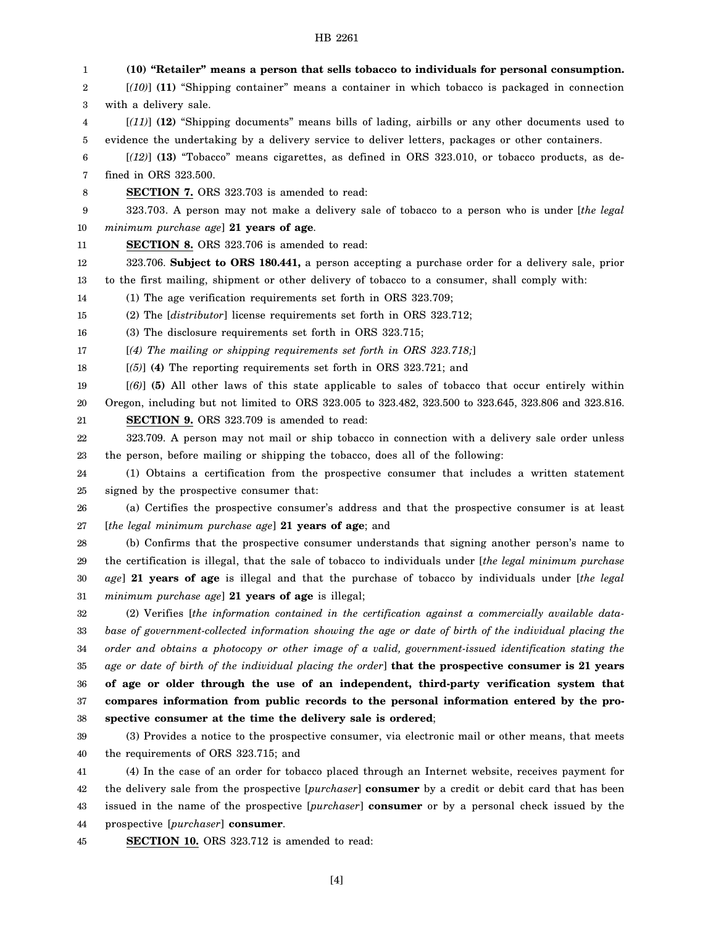| 1      | (10) "Retailer" means a person that sells tobacco to individuals for personal consumption.              |
|--------|---------------------------------------------------------------------------------------------------------|
| 2      | $[(10)]$ (11) "Shipping container" means a container in which tobacco is packaged in connection         |
| 3      | with a delivery sale.                                                                                   |
| 4      | $[(11)]$ (12) "Shipping documents" means bills of lading, airbills or any other documents used to       |
| 5      | evidence the undertaking by a delivery service to deliver letters, packages or other containers.        |
| 6      | $[(12)]$ (13) "Tobacco" means cigarettes, as defined in ORS 323.010, or tobacco products, as de-        |
| 7      | fined in ORS 323.500.                                                                                   |
| 8      | <b>SECTION 7.</b> ORS 323.703 is amended to read:                                                       |
| 9      | 323.703. A person may not make a delivery sale of tobacco to a person who is under [the legal           |
| 10     | minimum purchase age] 21 years of age.                                                                  |
| 11     | <b>SECTION 8.</b> ORS 323.706 is amended to read:                                                       |
| 12     | 323.706. Subject to ORS 180.441, a person accepting a purchase order for a delivery sale, prior         |
| 13     | to the first mailing, shipment or other delivery of tobacco to a consumer, shall comply with:           |
| 14     | (1) The age verification requirements set forth in ORS 323.709;                                         |
| 15     | (2) The [distributor] license requirements set forth in ORS 323.712;                                    |
| 16     | (3) The disclosure requirements set forth in ORS 323.715;                                               |
| 17     | $[(4)$ The mailing or shipping requirements set forth in ORS 323.718;                                   |
| 18     | $[5]$ (4) The reporting requirements set forth in ORS 323.721; and                                      |
| 19     | $[(6)]$ (5) All other laws of this state applicable to sales of tobacco that occur entirely within      |
| 20     | Oregon, including but not limited to ORS 323.005 to 323.482, 323.500 to 323.645, 323.806 and 323.816.   |
| 21     | <b>SECTION 9.</b> ORS 323.709 is amended to read:                                                       |
| 22     | 323.709. A person may not mail or ship tobacco in connection with a delivery sale order unless          |
| 23     | the person, before mailing or shipping the tobacco, does all of the following:                          |
| 24     | (1) Obtains a certification from the prospective consumer that includes a written statement             |
| 25     | signed by the prospective consumer that:                                                                |
| 26     | (a) Certifies the prospective consumer's address and that the prospective consumer is at least          |
| 27     | [the legal minimum purchase age] 21 years of age; and                                                   |
| 28     | (b) Confirms that the prospective consumer understands that signing another person's name to            |
| 29     | the certification is illegal, that the sale of tobacco to individuals under [the legal minimum purchase |
| $30\,$ | age] 21 years of age is illegal and that the purchase of tobacco by individuals under [the legal        |
| 31     | minimum purchase age] 21 years of age is illegal;                                                       |
| 32     | (2) Verifies [the information contained in the certification against a commercially available data-     |
| 33     | base of government-collected information showing the age or date of birth of the individual placing the |
| 34     | order and obtains a photocopy or other image of a valid, government-issued identification stating the   |
| 35     | age or date of birth of the individual placing the order] that the prospective consumer is 21 years     |
| 36     | of age or older through the use of an independent, third-party verification system that                 |
| 37     | compares information from public records to the personal information entered by the pro-                |
| 38     | spective consumer at the time the delivery sale is ordered;                                             |
| 39     | (3) Provides a notice to the prospective consumer, via electronic mail or other means, that meets       |
| 40     | the requirements of ORS 323.715; and                                                                    |
| 41     | (4) In the case of an order for tobacco placed through an Internet website, receives payment for        |
| 42     | the delivery sale from the prospective [purchaser] consumer by a credit or debit card that has been     |
| 43     | issued in the name of the prospective [purchaser] consumer or by a personal check issued by the         |
| 44     | prospective [purchaser] consumer.                                                                       |
| 45     | SECTION 10. ORS 323.712 is amended to read:                                                             |

[4]